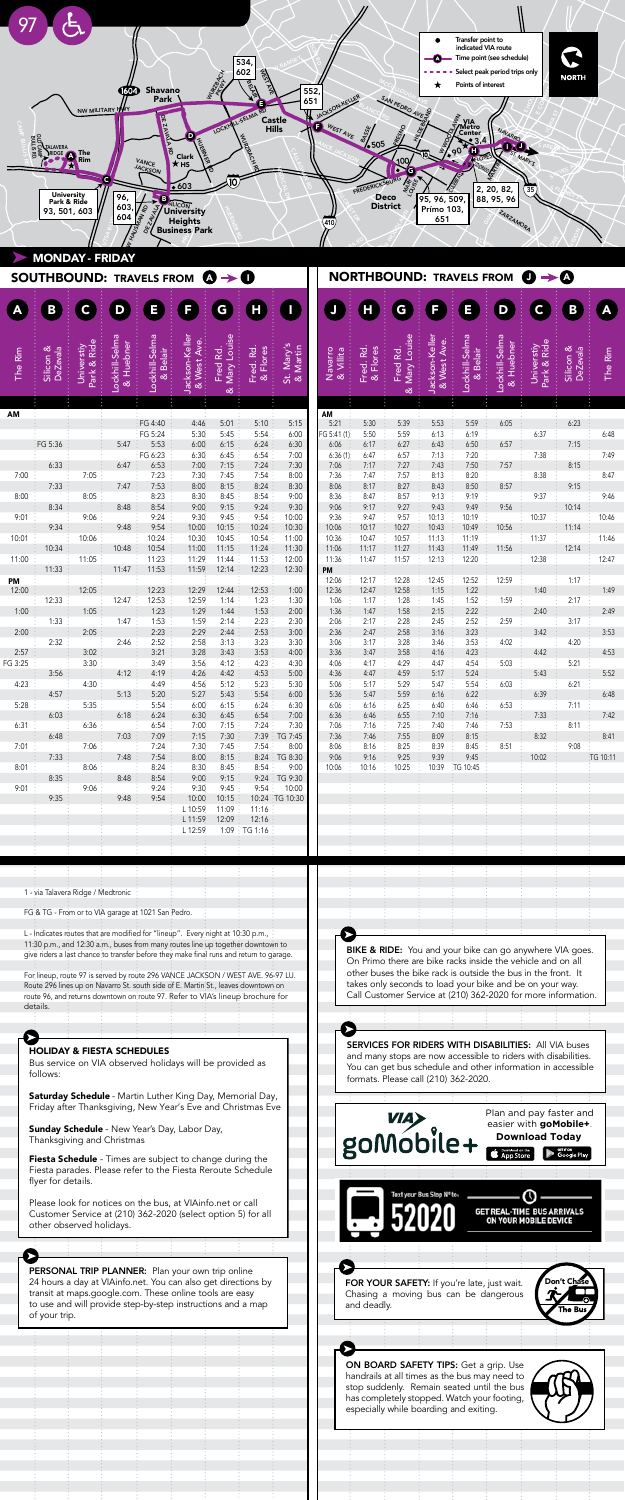er lineup, route 97 is served by route 296 VANCE JACKSON / WEST AVE. 96-97 LU. The immediation of the contract up to direct 270 values. Activities with the co-271 Routes passengers plan transfer routes. route 96, and returns downtown on route 97. Refer to VIA's lineup brochure for details.

PERSONAL TRIP PLANNER: Plan your own trip online 24 hours a day at VIAinfo.net. You can also get directions by transit at maps.google.com. These online tools are easy to use and will provide step-by-step instructions and a map of your trip.

1 - via Talavera Ridge / Medtronic

FG & TG - From or to VIA garage at 1021 San Pedro.

.<br>L - Indicates routes that are modified for "lineup". Every night at 10:30 p.m., 11:30 p.m., and 12:30 a.m., buses from many routes line up together downtown to give riders a last chance to transfer before they make final runs and return to garage.<br>. - Indicates routes that are modified for "lineup". Every night at 10:30 p.m.,

FOR YOUR SAFETY: If you're late, just wait. Chasing a moving bus can be dangerous Don't Chase

handrails at all times as the bus may need to has completely stopped. Watch your footing,

and many stops are now accessible to riders with disabilities. 24 hours and the school was decessible to hours what disabilities. You can get bus schedule and other information in accessible<br>formate Please call (210) 362 2020 formats. Please call (210) 362-2020. SERVICES FOR RIDERS WITH DISABILITIES: All VIA buses

and many stops are now accessible to riders with disabilities. You can get bus schedule and other information in accessible

formats. Please call (210) 362-2020.

SERVICES: THE RIDERS WITH DISABILITIES: All VIA buses with Disabilities:  $\mathcal{L} = \mathcal{L} \mathcal{L} \mathcal{L} \mathcal{L} \mathcal{L} \mathcal{L} \mathcal{L} \mathcal{L} \mathcal{L} \mathcal{L} \mathcal{L} \mathcal{L} \mathcal{L} \mathcal{L} \mathcal{L} \mathcal{L} \mathcal{L} \mathcal{L} \mathcal{L} \mathcal{L} \mathcal{L} \mathcal{L} \mathcal{L} \mathcal$ Bus service on VIA observed holidays will be provided as follows:

**Saturday Schedule** - Martin Luther King Day, Memorial Day, Friday after Thanksgiving, New Year's Eve and Christmas Eve

HOLIDAY & FIESTA SCHEDULES

Bus service on VIA observed holidays will be provided as

Please look for notices on the bus, at VIAinfo.net or call Customer Service at (210) 362-2020 (select option 5) for all other observed holidays.

**Sunday Schedule** - New Year's Day, Labor Day, Thanksgiving and Christmas

Fiesta parades. Please refer to the Fiesta Reroute Schedule flyer for details. The vehicle and on all the vehicle and on all the vehicle and on all the vehicle and on all Fiesta Schedule - Times are subject to change during the

|                 |                             |                          |                             |                                 |                                                |                                            |                         |                        |                      |                                  |                          |                              | Transfer point to<br>indicated VIA route |                                                            |                                     |                       |          |
|-----------------|-----------------------------|--------------------------|-----------------------------|---------------------------------|------------------------------------------------|--------------------------------------------|-------------------------|------------------------|----------------------|----------------------------------|--------------------------|------------------------------|------------------------------------------|------------------------------------------------------------|-------------------------------------|-----------------------|----------|
|                 |                             |                          |                             |                                 |                                                | ර්                                         | 534<br>602              |                        |                      |                                  |                          |                              |                                          | Time point (see schedule)<br>Select peak period trips only |                                     | <b>NORTH</b>          |          |
|                 |                             |                          | 604)                        | <b>Shavano</b><br>Park          |                                                |                                            | <b>Age</b><br>G         |                        | 552<br>651           |                                  |                          |                              | Points of interest                       |                                                            |                                     |                       |          |
|                 |                             |                          | NW MILITARY HW              | <b>ZAV</b>                      |                                                | LOCKHILL-SELMA                             | RD                      | Castle                 | JACK                 |                                  | SAN PEDRO AV             |                              | ٤<br>,<br>'Metro<br>Center               |                                                            |                                     |                       |          |
|                 |                             |                          |                             | ア<br>巴                          | D                                              |                                            |                         | <b>Hills</b>           | WEST AVE             | <b>BASE</b><br>$\frac{1}{2}$ 505 |                          |                              | 90<br>O                                  | NAVARR<br>10)                                              |                                     |                       |          |
|                 | TALAVERA<br>SRIDGE          | The<br>Rim               |                             | VANCE<br>JACKSON                | <b>Clark</b><br>k HS                           |                                            | કૃ                      |                        |                      |                                  | 100<br>Б<br>C            |                              |                                          |                                                            | MARY'S                              |                       |          |
|                 | <b>University</b>           |                          | c<br>96,                    | B                               | $\bar{\bullet}$ 603                            |                                            |                         |                        |                      | FREDERICKSBURG                   | てんで<br>Deco              | 95, 96, 509,                 |                                          | 2, 20, 82,<br>88, 95, 96                                   |                                     |                       |          |
|                 | Park & Ride<br>93, 501, 603 |                          | 603<br>604                  | HAUSIAAN RD<br>OE ZAVALA        | <b>SILICON</b><br>University<br><b>Heights</b> |                                            |                         |                        | 410,                 |                                  | <b>District</b>          | Prímo 103,<br>651            |                                          | ZARZAMORA                                                  |                                     |                       |          |
|                 |                             |                          |                             |                                 | <b>Business Park</b>                           |                                            |                         |                        |                      |                                  |                          |                              |                                          |                                                            |                                     |                       |          |
|                 | <b>MONDAY - FRIDAY</b>      |                          |                             |                                 |                                                |                                            |                         |                        |                      |                                  |                          |                              |                                          |                                                            |                                     |                       |          |
|                 |                             |                          |                             | <b>SOUTHBOUND: TRAVELS FROM</b> |                                                | $\ddot{\mathbf{0}} \rightarrow \mathbf{0}$ |                         |                        |                      |                                  |                          |                              | <b>NORTHBOUND: TRAVELS FROM</b>          |                                                            | $\mathbf{O} \rightarrow \mathbf{O}$ |                       |          |
|                 | $\bf{B}$                    | $\mathsf{C}$             | D                           | E                               | F                                              | $\mathbf G$                                | $\mathbf H$             |                        |                      | Н                                | G                        | F                            | E                                        | $\overline{D}$                                             | $\mathbf c$                         | $\bf{B}$              |          |
|                 |                             |                          |                             |                                 |                                                |                                            |                         |                        |                      |                                  |                          |                              |                                          |                                                            |                                     |                       |          |
| The Rim         | Silicon &<br>DeZevala       | Universtiy<br>Park & Rid | -ockhill-Selma<br>& Huebner | -ockhill-Selma<br>Belair        | Jackson-Keller<br>& West Ave                   | Mary Louise<br>Fred Rd                     | Fred. Rd.<br>& Flores   | St. Mary's<br>& Martin | Navarro<br>& Villita | Fred. Rd.<br>& Flores            | & Mary Louise<br>Fred Rd | Jackson-Keller<br>& West Ave | -ockhill-Selma<br>& Belair               | ockhill-Selma<br>& Huebner                                 | Park & Ride<br>Universtiy           | Silicon &<br>DeZevala | The Rim  |
|                 |                             |                          |                             | $\propto$                       |                                                | త                                          |                         |                        |                      |                                  |                          |                              |                                          |                                                            |                                     |                       |          |
| AM              |                             |                          |                             |                                 |                                                |                                            |                         | 5:15                   | AM<br>5:21           | 5:30                             | 5:39                     |                              |                                          |                                                            |                                     | 6:23                  |          |
|                 | FG 5:36                     |                          | 5:47                        | FG 4:40<br>FG 5:24<br>5:53      | 4:46<br>5:30<br>6:00                           | 5:01<br>5:45<br>6:15                       | 5:10<br>5:54<br>6:24    | 6:00<br>6:30           | FG 5:41 (1)<br>6:06  | 5:50<br>6:17                     | 5:59<br>6:27             | 5:53<br>6:13<br>6:43         | 5:59<br>6:19<br>6:50                     | 6:05<br>6:57                                               | 6:37                                | 7:15                  | 6:48     |
|                 | 6:33                        |                          | 6:47                        | FG 6:23<br>6:53                 | 6:30<br>7:00                                   | 6:45<br>7:15                               | 6:54<br>7:24            | 7:00<br>7:30           | 6:36(1)<br>7:06      | 6:47<br>7:17                     | 6:57<br>7:27             | 7:13<br>7:43                 | 7:20<br>7:50                             | 7:57                                                       | 7:38                                | 8:15                  | 7:49     |
| 7:00            | 7:33                        | 7:05                     | 7:47                        | 7:23<br>7:53                    | 7:30<br>8:00                                   | 7:45<br>8:15                               | 7:54<br>8:24            | 8:00<br>8:30           | 7:36<br>8:06         | 7:47<br>8:17                     | 7:57<br>8:27             | 8:13<br>8:43                 | 8:20<br>8:50                             | 8:57                                                       | 8:38                                | 9:15                  | 8:47     |
| 8:00            | 8:34                        | 8:05                     | 8:48                        | 8:23<br>8:54                    | 8:30<br>9:00                                   | 8:45<br>9:15                               | 8:54<br>9:24            | 9:00<br>9:30           | 8:36<br>9:06         | 8:47<br>9:17                     | 8:57<br>9:27             | 9:13<br>9:43                 | 9:19<br>9:49                             | 9:56                                                       | 9:37                                | 10:14                 | 9:46     |
| 9:01            | 9:34                        | 9:06                     | 9:48                        | 9:24<br>9:54                    | 9:30<br>10:00                                  | 9:45<br>10:15                              | 9:54<br>10:24           | 10:00<br>10:30         | 9:36<br>10:06        | 9:47<br>10:17                    | 9:57<br>10:27            | 10:13<br>10:43               | 10:19<br>10:49                           | 10:56                                                      | 10:37                               | 11:14                 | 10:46    |
| 10:01           | 10:34                       | 10:06                    |                             | 10:24<br>10:54                  | 10:30<br>11:00                                 | 10:45<br>11:15                             | 10:54<br>11:24          | 11:00<br>11:30         | 10:36                | 10:47<br>11:17                   | 10:57<br>11:27           | 11:13<br>11:43               | 11:19<br>11:49                           | 11:56                                                      | 11:37                               |                       | 11:46    |
| 11:00           |                             | 11:05                    | 10:48                       | 11:23                           | 11:29                                          | 11:44                                      | 11:53                   | 12:00                  | 11:06<br>11:36       | 11:47                            | 11:57                    | 12:13                        | 12:20                                    |                                                            | 12:38                               | 12:14                 | 12:47    |
| PM              | 11:33                       |                          | 11:47                       | 11:53                           | 11:59                                          | 12:14                                      | 12:23                   | 12:30                  | PM<br>12:06          | 12:17                            | 12:28                    | 12:45                        | 12:52                                    | 12:59                                                      |                                     | 1:17                  |          |
| 12:00           | 12:33                       | 12:05                    | 12:47                       | 12:23<br>12:53                  | 12:29<br>12:59                                 | 12:44<br>1:14                              | 12:53<br>1:23           | 1:00<br>1:30           | 12:36<br>1:06        | 12:47<br>1:17                    | 12:58<br>1:28            | 1:15<br>1:45                 | 1:22<br>1:52                             | 1:59                                                       | 1:40                                | 2:17                  | 1:49     |
| 1:00            | 1:33                        | 1:05                     | 1:47                        | 1:23<br>1:53                    | 1:29<br>1:59                                   | 1:44<br>2:14                               | 1:53<br>2:23            | 2:00<br>2:30           | 1:36<br>2:06         | 1:47<br>2:17                     | 1:58<br>2:28             | 2:15<br>2:45                 | 2:22<br>2:52                             | 2:59                                                       | 2:40                                | 3:17                  | 2:49     |
| 2:00            | 2:32                        | 2:05                     | 2:46                        | 2:23<br>2:52                    | 2:29<br>2:58                                   | 2:44<br>3:13                               | 2:53<br>3:23            | 3:00<br>3:30           | 2:36<br>3:06         | 2:47<br>3:17                     | 2:58<br>3:28             | 3:16<br>3:46                 | 3:23<br>3:53                             | 4:02                                                       | 3:42                                | 4:20                  | 3:53     |
| 2:57<br>FG 3:25 |                             | 3:02<br>3:30             |                             | 3:21<br>3:49                    | 3:28<br>3:56                                   | 3:43<br>4:12                               | 3:53<br>4:23            | 4:00<br>4:30           | 3:36<br>4:06         | 3:47<br>4:17                     | 3:58<br>4:29             | 4:16<br>4:47                 | 4:23<br>4:54                             | 5:03                                                       | 4:42                                | 5:21                  | 4:53     |
|                 | 3:56                        | 4:30                     | 4:12                        | 4:19<br>4:49                    | 4:26<br>4:56                                   | 4:42<br>5:12                               | 4:53<br>5:23            | 5:00                   | 4:36                 | 4:47                             | 4:59                     | 5:17                         | 5:24                                     |                                                            | 5:43                                |                       | 5:52     |
| 4:23            | 4:57                        |                          | 5:13                        | 5:20                            | 5:27                                           | 5:43                                       | 5:54                    | 5:30<br>6:00           | 5:06<br>5:36         | 5:17<br>5:47                     | 5:29<br>5:59             | 5:47<br>6:16                 | 5:54<br>6:22                             | 6:03                                                       | 6:39                                | 6:21                  | 6:48     |
| 5:28            | 6:03                        | 5:35                     | 6:18                        | 5:54<br>6:24                    | 6:00<br>6:30                                   | 6:15<br>6:45                               | 6:24<br>6:54            | 6:30<br>7:00           | 6:06<br>6:36         | 6:16<br>6:46                     | 6:25<br>6:55             | 6:40<br>7:10                 | 6:46<br>7:16                             | 6:53                                                       | 7:33                                | 7:11                  | 7:42     |
| 6:31            | 6:48                        | 6:36                     | 7:03                        | 6:54<br>7:09                    | 7:00<br>7:15                                   | 7:15<br>7:30                               | 7:24<br>7:39            | 7:30<br>TG 7:45        | 7:06<br>7:36         | 7:16<br>7:46                     | 7:25<br>7:55             | 7:40<br>8:09                 | 7:46<br>8:15                             | 7:53                                                       | 8:32                                | 8:11                  | 8:41     |
| 7:01            | 7:33                        | 7:06                     | 7:48                        | 7:24<br>7:54                    | 7:30<br>8:00                                   | 7:45<br>8:15                               | 7:54<br>8:24            | 8:00<br>TG 8:30        | 8:06<br>9:06         | 8:16<br>9:16                     | 8:25<br>9:25             | 8:39<br>9:39                 | 8:45<br>9:45                             | 8:51                                                       | 10:02                               | 9:08                  | TG 10:11 |
| 8:01            |                             | 8:06                     |                             | 8:24                            | 8:30                                           | 8:45                                       | 8:54                    | 9:00                   | 10:06                | 10:16                            | 10:25                    | 10:39                        | TG 10:45                                 |                                                            |                                     |                       |          |
| 9:01            | 8:35                        | 9:06                     | 8:48                        | 8:54<br>9:24                    | 9:00<br>9:30                                   | 9:15<br>9:45                               | 9:24<br>9:54            | TG 9:30<br>10:00       |                      |                                  |                          |                              |                                          |                                                            |                                     |                       |          |
|                 | 9:35                        |                          | 9:48                        | 9:54                            | 10:00<br>L 10:59                               | 10:15<br>11:09                             | 11:16                   | 10:24 :TG 10:30        |                      |                                  |                          |                              |                                          |                                                            |                                     |                       |          |
|                 |                             |                          |                             |                                 | L 11:59<br>L 12:59                             | 12:09                                      | 12:16<br>$1:09$ TG 1:16 |                        |                      |                                  |                          |                              |                                          |                                                            |                                     |                       |          |
|                 |                             |                          |                             |                                 |                                                |                                            |                         |                        |                      |                                  |                          |                              |                                          |                                                            |                                     |                       |          |
|                 |                             |                          |                             |                                 |                                                |                                            |                         |                        |                      |                                  |                          |                              |                                          |                                                            |                                     |                       |          |

has completely stopped. Watch your footing, especially while boarding and exiting.

WHAT DOES "7:05 / 7:16" MEAN?

Normally just departure times are printed on the schedules. However, when a bus is scheduled to arrive at a major



formats. Please call (210) 362-2020.



WHAT DOES "7:05 / 7:16" MEAN?

However, when a bus is scheduled to arrive at a major

## HOLIDAY & FIESTA SCHEDULES

HOLIDAY & FIESTA SCHEDULES

Bus service on VIA observed holidays will be provided as

Saturday Schedule - Martin Luther King Day, Memorial Day,

flyer for details.

⋐

0

Please look for notices on the bus, at VIAinfo.net or call